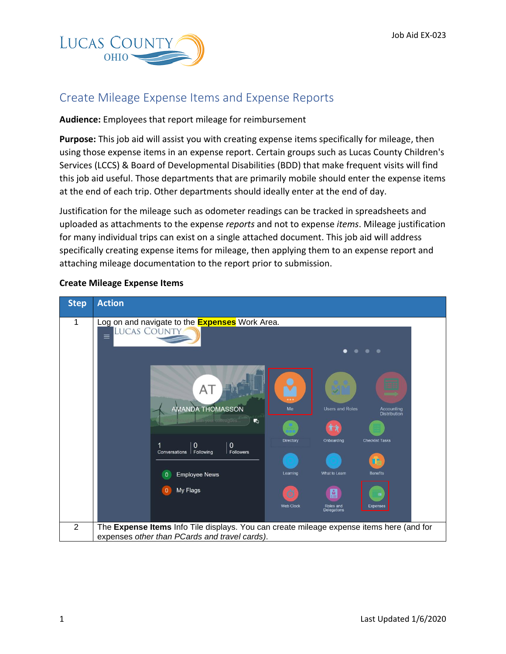

## Create Mileage Expense Items and Expense Reports

## **Audience:** Employees that report mileage for reimbursement

**Purpose:** This job aid will assist you with creating expense items specifically for mileage, then using those expense items in an expense report. Certain groups such as Lucas County Children's Services (LCCS) & Board of Developmental Disabilities (BDD) that make frequent visits will find this job aid useful. Those departments that are primarily mobile should enter the expense items at the end of each trip. Other departments should ideally enter at the end of day.

Justification for the mileage such as odometer readings can be tracked in spreadsheets and uploaded as attachments to the expense *reports* and not to expense *items*. Mileage justification for many individual trips can exist on a single attached document. This job aid will address specifically creating expense items for mileage, then applying them to an expense report and attaching mileage documentation to the report prior to submission.



## **Create Mileage Expense Items**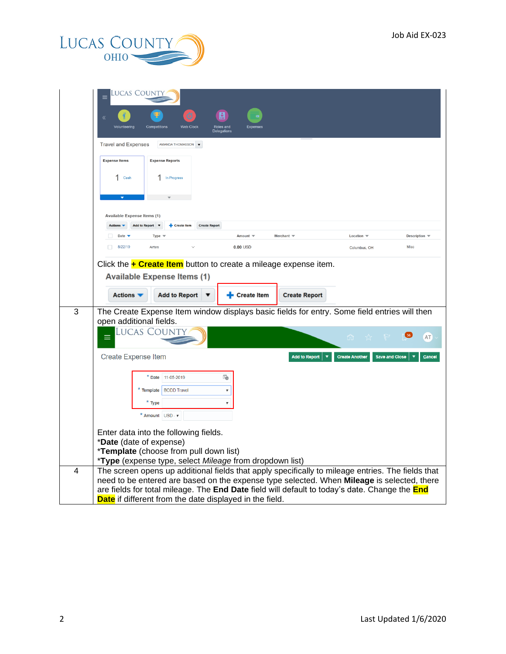

|   | Lucas County<br>$\equiv$                                                                                                                                                                                                            |
|---|-------------------------------------------------------------------------------------------------------------------------------------------------------------------------------------------------------------------------------------|
|   | <b>Web Clock</b><br>Roles and                                                                                                                                                                                                       |
|   | <b>Delegations</b><br><b>Travel and Expenses</b><br>AMANDA THOMASSON $\blacktriangledown$                                                                                                                                           |
|   | <b>Expense Items</b><br><b>Expense Reports</b>                                                                                                                                                                                      |
|   | 1 Cash<br>1 In Progress                                                                                                                                                                                                             |
|   |                                                                                                                                                                                                                                     |
|   |                                                                                                                                                                                                                                     |
|   | <b>Available Expense Items (1)</b>                                                                                                                                                                                                  |
|   | Add to Report ▼<br>+ Create Item<br><b>Create Report</b><br>Actions $\blacktriangledown$<br>Merchant $\equiv$<br>Date v<br>Amount $\equiv$<br>Location $\overline{\mathbf{v}}$<br>Description $\overline{\phantom{a}}$<br>Type $\P$ |
|   | 8/22/19<br>Misc<br>Airfare<br>$0.00$ USD<br>П.<br>Columbus, OH                                                                                                                                                                      |
|   | Click the $\div$ Create Item button to create a mileage expense item.                                                                                                                                                               |
|   | <b>Available Expense Items (1)</b>                                                                                                                                                                                                  |
|   |                                                                                                                                                                                                                                     |
|   | <b>Add to Report</b><br>Actions $\blacktriangledown$<br>Create Item<br><b>Create Report</b>                                                                                                                                         |
| 3 | The Create Expense Item window displays basic fields for entry. Some field entries will then<br>open additional fields.                                                                                                             |
|   | Lucas Count<br>AT<br>m.                                                                                                                                                                                                             |
|   |                                                                                                                                                                                                                                     |
|   | <b>Create Expense Item</b><br><b>Create Another</b><br><b>Save and Close</b><br>Add to Report<br>Cancel                                                                                                                             |
|   | Ïò<br>* Date 11-05-2019                                                                                                                                                                                                             |
|   | <b>BODD Travel</b><br>* Template<br>$\pmb{\mathbb{v}}$                                                                                                                                                                              |
|   | * Type<br>▼                                                                                                                                                                                                                         |
|   | * Amount USD - v                                                                                                                                                                                                                    |
|   | Enter data into the following fields.                                                                                                                                                                                               |
|   | *Date (date of expense)<br>*Template (choose from pull down list)                                                                                                                                                                   |
|   | *Type (expense type, select Mileage from dropdown list)                                                                                                                                                                             |
| 4 | The screen opens up additional fields that apply specifically to mileage entries. The fields that                                                                                                                                   |
|   | need to be entered are based on the expense type selected. When Mileage is selected, there<br>are fields for total mileage. The End Date field will default to today's date. Change the End                                         |
|   | Date if different from the date displayed in the field.                                                                                                                                                                             |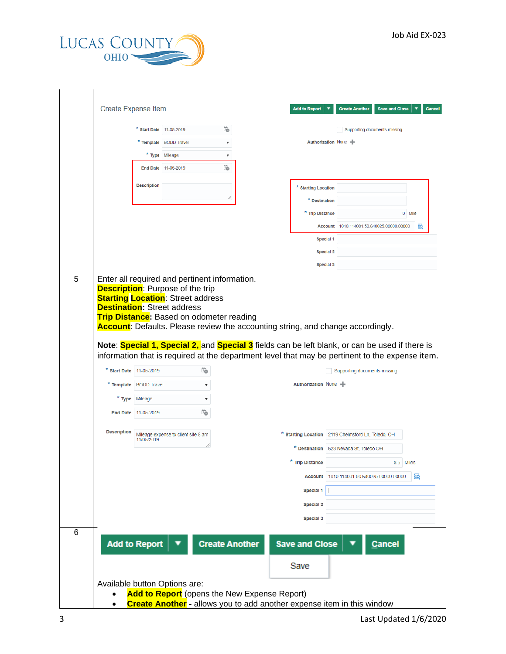

|   | <b>Create Expense Item</b>    |                                                                 |                                     |                                         |                                              | <b>Add to Report</b>          | <b>Create Another</b><br><b>Save and Close</b><br>Cancel                                                                                                                                                                                                                                                             |
|---|-------------------------------|-----------------------------------------------------------------|-------------------------------------|-----------------------------------------|----------------------------------------------|-------------------------------|----------------------------------------------------------------------------------------------------------------------------------------------------------------------------------------------------------------------------------------------------------------------------------------------------------------------|
|   |                               | $*$ Start Date 11-05-2019                                       |                                     | i.                                      |                                              |                               | Supporting documents missing                                                                                                                                                                                                                                                                                         |
|   |                               |                                                                 | * Template   BODD Travel            | $\overline{\mathbf{v}}$                 |                                              | Authorization None -          |                                                                                                                                                                                                                                                                                                                      |
|   |                               |                                                                 | * Type Mileage                      | $\overline{\mathbf{v}}$                 |                                              |                               |                                                                                                                                                                                                                                                                                                                      |
|   |                               | <b>End Date</b>                                                 | 11-05-2019                          | <b>To</b>                               |                                              |                               |                                                                                                                                                                                                                                                                                                                      |
|   |                               | <b>Description</b>                                              |                                     |                                         |                                              | * Starting Location           |                                                                                                                                                                                                                                                                                                                      |
|   |                               |                                                                 |                                     | //                                      |                                              | * Destination                 |                                                                                                                                                                                                                                                                                                                      |
|   |                               |                                                                 |                                     |                                         |                                              | * Trip Distance               | 0 Mile                                                                                                                                                                                                                                                                                                               |
|   |                               |                                                                 |                                     |                                         |                                              | <b>Account</b>                | 1010.114001.50.640025.00000.00000<br>國                                                                                                                                                                                                                                                                               |
|   |                               |                                                                 |                                     |                                         |                                              | Special 1                     |                                                                                                                                                                                                                                                                                                                      |
|   |                               |                                                                 |                                     |                                         |                                              | <b>Special 2</b>              |                                                                                                                                                                                                                                                                                                                      |
|   |                               |                                                                 |                                     |                                         |                                              | Special 3                     |                                                                                                                                                                                                                                                                                                                      |
|   | * Start Date 11-05-2019       | * Template BODD Travel<br>* Type Mileage<br>End Date 11-05-2019 |                                     | Ë<br>$\overline{\mathbf{v}}$<br>▼<br>İ0 |                                              | Authorization None -          | Account: Defaults. Please review the accounting string, and change accordingly.<br>Note: Special 1, Special 2, and Special 3 fields can be left blank, or can be used if there is<br>information that is required at the department level that may be pertinent to the expense item.<br>Supporting documents missing |
|   | <b>Description</b>            | 11/05/2019.                                                     | Mileage expense to client site 8 am |                                         |                                              |                               | * Starting Location   2119 Chelmsford Ln, Toledo, OH                                                                                                                                                                                                                                                                 |
|   |                               |                                                                 |                                     |                                         |                                              |                               | * Destination   623 Nevada St, Toledo OH                                                                                                                                                                                                                                                                             |
|   |                               |                                                                 |                                     |                                         |                                              | * Trip Distance               | 8.5 Miles                                                                                                                                                                                                                                                                                                            |
|   |                               |                                                                 |                                     |                                         |                                              | <b>Account</b>                | 國<br>1010.114001.50.640025.00000.00000                                                                                                                                                                                                                                                                               |
|   |                               |                                                                 |                                     |                                         |                                              | Special 1                     |                                                                                                                                                                                                                                                                                                                      |
|   |                               |                                                                 |                                     |                                         |                                              | Special 2                     |                                                                                                                                                                                                                                                                                                                      |
|   |                               |                                                                 |                                     |                                         |                                              | Special 3                     |                                                                                                                                                                                                                                                                                                                      |
| 6 |                               | <b>Add to Report</b>                                            |                                     | <b>Create Another</b>                   |                                              | <b>Save and Close</b><br>Save | <b>Cancel</b>                                                                                                                                                                                                                                                                                                        |
|   | Available button Options are: |                                                                 |                                     |                                         |                                              |                               |                                                                                                                                                                                                                                                                                                                      |
|   | $\bullet$                     |                                                                 |                                     |                                         | Add to Report (opens the New Expense Report) |                               | <b>Create Another</b> - allows you to add another expense item in this window                                                                                                                                                                                                                                        |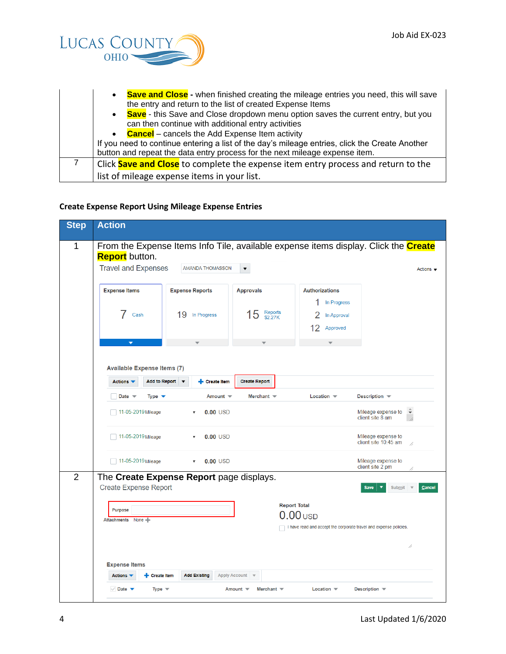

| <b>Save and Close</b> - when finished creating the mileage entries you need, this will save<br>$\bullet$<br>the entry and return to the list of created Expense Items         |
|-------------------------------------------------------------------------------------------------------------------------------------------------------------------------------|
| • Save - this Save and Close dropdown menu option saves the current entry, but you<br>can then continue with additional entry activities                                      |
| • Cancel – cancels the Add Expense Item activity                                                                                                                              |
| If you need to continue entering a list of the day's mileage entries, click the Create Another<br>button and repeat the data entry process for the next mileage expense item. |
| Click Save and Close to complete the expense item entry process and return to the                                                                                             |
| list of mileage expense items in your list.                                                                                                                                   |

## **Create Expense Report Using Mileage Expense Entries**

| <b>Step</b>    | <b>Action</b>                                                                                                                                                                                                                     |  |  |  |  |  |  |  |  |  |
|----------------|-----------------------------------------------------------------------------------------------------------------------------------------------------------------------------------------------------------------------------------|--|--|--|--|--|--|--|--|--|
| 1              | From the Expense Items Info Tile, available expense items display. Click the <b>Create</b><br><b>Report</b> button.<br><b>Travel and Expenses</b><br>AMANDA THOMASSON<br>$\overline{\phantom{a}}$<br>Actions $\blacktriangledown$ |  |  |  |  |  |  |  |  |  |
|                | <b>Expense Items</b><br><b>Expense Reports</b><br><b>Approvals</b><br><b>Authorizations</b><br>In Progress<br>Reports<br>\$2.27K<br>5<br>19<br>In Progress<br>Cash<br>In Approval<br>Approved<br>12                               |  |  |  |  |  |  |  |  |  |
|                | <b>Available Expense Items (7)</b>                                                                                                                                                                                                |  |  |  |  |  |  |  |  |  |
|                | Add to Report v<br>Actions $\blacktriangledown$<br>+ Create Item<br><b>Create Report</b><br>Merchant $\equiv$<br>Location $\equiv$<br>Description –<br>Date $\mathbf$<br>Type $\blacktriangledown$<br>Amount $\equiv$             |  |  |  |  |  |  |  |  |  |
|                | 11-05-2019 Mileage<br>Mileage expense to<br>≑<br>$0.00$ USD<br>client site 8 am<br>11-05-2019 Mileage<br>$0.00$ USD<br>Mileage expense to<br>$\boldsymbol{\mathrm{v}}$                                                            |  |  |  |  |  |  |  |  |  |
|                | client site 10:45 am<br>77<br>$\Box$ 11-05-2019 Mileage<br>$0.00$ USD<br>Mileage expense to<br>$\mathbf{v}$<br>client site 2 pm                                                                                                   |  |  |  |  |  |  |  |  |  |
| $\overline{2}$ | The Create Expense Report page displays.<br><b>Create Expense Report</b><br><b>Save</b><br>Submit<br>Cancel<br><b>Report Total</b>                                                                                                |  |  |  |  |  |  |  |  |  |
|                | <b>Purpose</b><br>$0.00$ USD<br>Attachments None<br>I have read and accept the corporate travel and expense policies.<br>//                                                                                                       |  |  |  |  |  |  |  |  |  |
|                | <b>Expense Items</b><br>Actions $\blacktriangledown$<br><b>Add Existing</b><br>+ Create Item<br>Apply Account v                                                                                                                   |  |  |  |  |  |  |  |  |  |
|                | $\vee$ Date $\blacktriangledown$<br>Type $\mathbf$<br>Amount $\equiv$<br>Merchant $\equiv$<br>Location $\blacktriangledown$<br>Description $\blacktriangledown$                                                                   |  |  |  |  |  |  |  |  |  |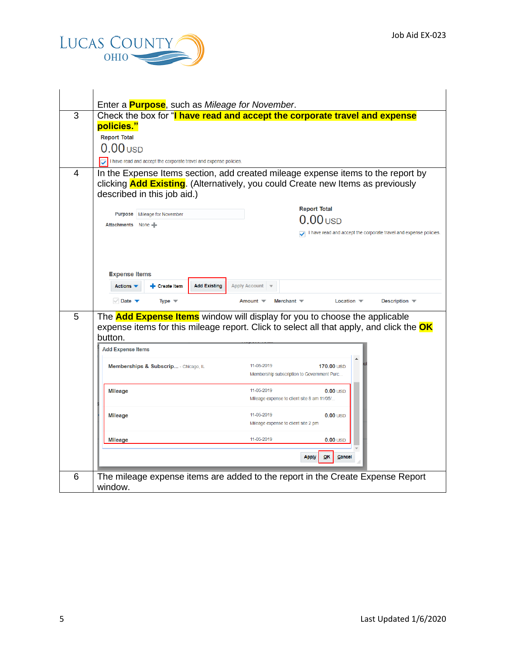

|   | Enter a <b>Purpose</b> , such as Mileage for November.                                                                                                                                                                                    |  |  |  |  |  |  |  |  |
|---|-------------------------------------------------------------------------------------------------------------------------------------------------------------------------------------------------------------------------------------------|--|--|--|--|--|--|--|--|
| 3 | Check the box for "I have read and accept the corporate travel and expense                                                                                                                                                                |  |  |  |  |  |  |  |  |
|   | policies."                                                                                                                                                                                                                                |  |  |  |  |  |  |  |  |
|   | <b>Report Total</b>                                                                                                                                                                                                                       |  |  |  |  |  |  |  |  |
|   | $0.00$ usp                                                                                                                                                                                                                                |  |  |  |  |  |  |  |  |
|   | I have read and accept the corporate travel and expense policies.                                                                                                                                                                         |  |  |  |  |  |  |  |  |
| 4 | In the Expense Items section, add created mileage expense items to the report by<br>clicking <b>Add Existing</b> . (Alternatively, you could Create new Items as previously<br>described in this job aid.)                                |  |  |  |  |  |  |  |  |
|   | <b>Report Total</b>                                                                                                                                                                                                                       |  |  |  |  |  |  |  |  |
|   | <b>Purpose</b>   Mileage for November<br>0 <sub>USD</sub>                                                                                                                                                                                 |  |  |  |  |  |  |  |  |
|   | Attachments None<br>I have read and accept the corporate travel and expense policies.                                                                                                                                                     |  |  |  |  |  |  |  |  |
|   |                                                                                                                                                                                                                                           |  |  |  |  |  |  |  |  |
|   | <b>Add Existing</b><br>Actions $\blacktriangledown$<br>Create Item<br><b>Apply Account</b><br>$\vee$ Date $\blacktriangledown$<br>Type $\equiv$<br>Amount $\equiv$<br>Merchant $\equiv$<br>Location $\blacktriangledown$<br>Description – |  |  |  |  |  |  |  |  |
| 5 | The <b>Add Expense Items</b> window will display for you to choose the applicable<br>expense items for this mileage report. Click to select all that apply, and click the <b>OK</b>                                                       |  |  |  |  |  |  |  |  |
|   | button.<br><b>Add Expense Items</b>                                                                                                                                                                                                       |  |  |  |  |  |  |  |  |
|   | 11-05-2019<br>170.00 USD                                                                                                                                                                                                                  |  |  |  |  |  |  |  |  |
|   | Memberships & Subscrip - Chicago, IL<br>Membership subscription to Government Purc                                                                                                                                                        |  |  |  |  |  |  |  |  |
|   | 11-05-2019<br><b>Mileage</b><br>$0.00$ USD                                                                                                                                                                                                |  |  |  |  |  |  |  |  |
|   | Mileage expense to client site 8 am 11/05/                                                                                                                                                                                                |  |  |  |  |  |  |  |  |
|   | 11-05-2019<br>$0.00$ USD<br><b>Mileage</b>                                                                                                                                                                                                |  |  |  |  |  |  |  |  |
|   | Mileage expense to client site 2 pm                                                                                                                                                                                                       |  |  |  |  |  |  |  |  |
|   | 11-05-2019<br>$0.00$ USD<br><b>Mileage</b>                                                                                                                                                                                                |  |  |  |  |  |  |  |  |
|   | <b>Apply</b><br>OK<br>Cancel                                                                                                                                                                                                              |  |  |  |  |  |  |  |  |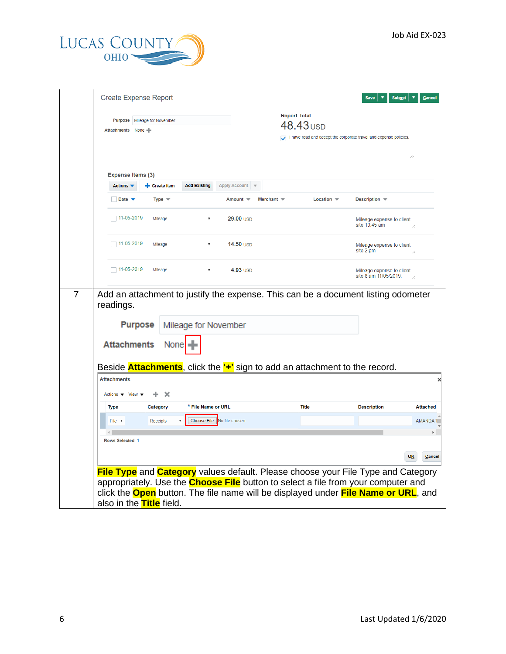

| Attachments None                                       | <b>Purpose</b> Mileage for November |                            |                             |                   | <b>Report Total</b><br>$48.43$ USD |                                                                                                            |
|--------------------------------------------------------|-------------------------------------|----------------------------|-----------------------------|-------------------|------------------------------------|------------------------------------------------------------------------------------------------------------|
|                                                        |                                     |                            |                             |                   |                                    | I have read and accept the corporate travel and expense policies.                                          |
|                                                        |                                     |                            |                             |                   |                                    |                                                                                                            |
| <b>Expense Items (3)</b>                               |                                     |                            |                             |                   |                                    |                                                                                                            |
| Actions $\blacktriangledown$                           | + Create Item                       | <b>Add Existing</b>        | Apply Account $\forall$     |                   |                                    |                                                                                                            |
| Date $\blacktriangledown$                              | Type $\blacktriangledown$           |                            | Amount $\blacktriangledown$ | Merchant $\equiv$ | Location $\blacktriangledown$      | Description $\overline{\phantom{a}}$                                                                       |
| $\Box$ 11-05-2019                                      | Mileage                             |                            | $29.00$ USD                 |                   |                                    | Mileage expense to client<br>site 10:45 am                                                                 |
| $\Box$ 11-05-2019                                      | Mileage                             | v                          | 14.50 USD                   |                   |                                    | Mileage expense to client<br>site 2 pm                                                                     |
| $\Box$ 11-05-2019                                      | Mileage                             | $\pmb{\mathbb{v}}$         | 4.93 USD                    |                   |                                    | Mileage expense to client                                                                                  |
| readings.                                              |                                     |                            |                             |                   |                                    | site 8 am 11/05/2019.<br>Add an attachment to justify the expense. This can be a document listing odometer |
| <b>Purpose</b>                                         |                                     | Mileage for November       |                             |                   |                                    |                                                                                                            |
| <b>Attachments</b>                                     | None                                |                            |                             |                   |                                    |                                                                                                            |
|                                                        |                                     |                            |                             |                   |                                    | Beside <b>Attachments</b> , click the "+" sign to add an attachment to the record.                         |
| <b>Attachments</b>                                     |                                     |                            |                             |                   |                                    |                                                                                                            |
| Actions $\blacktriangledown$ View $\blacktriangledown$ | ÷.<br><b>X</b>                      |                            |                             |                   |                                    |                                                                                                            |
| <b>Type</b>                                            | Category                            | * File Name or URL         |                             |                   | <b>Title</b>                       | <b>Description</b>                                                                                         |
| File v                                                 | Receipts                            | Choose File No file chosen |                             |                   |                                    |                                                                                                            |
| $\left\  \cdot \right\ $                               |                                     |                            |                             |                   |                                    |                                                                                                            |
| Rows Selected 1                                        |                                     |                            |                             |                   |                                    |                                                                                                            |
|                                                        |                                     |                            |                             |                   |                                    | <b>OK</b>                                                                                                  |